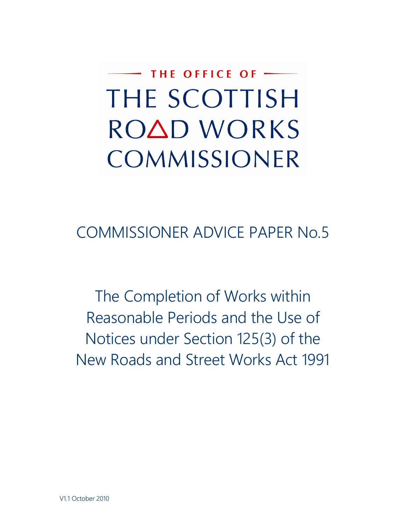THE OFFICE OF -THE SCOTTISH ROAD WORKS COMMISSIONER

COMMISSIONER ADVICE PAPER No.5

The Completion of Works within Reasonable Periods and the Use of Notices under Section 125(3) of the New Roads and Street Works Act 1991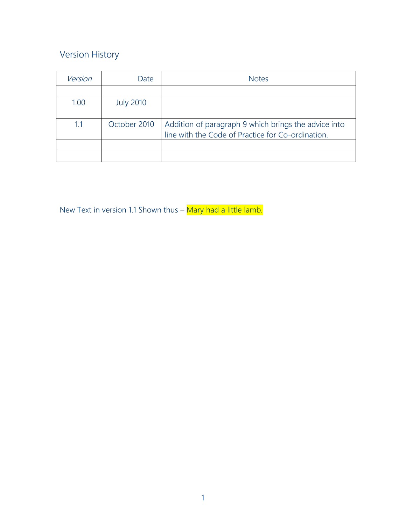## Version History

| Version | Date             | <b>Notes</b>                                                                                              |
|---------|------------------|-----------------------------------------------------------------------------------------------------------|
|         |                  |                                                                                                           |
| 1.00    | <b>July 2010</b> |                                                                                                           |
| 1.1     | October 2010     | Addition of paragraph 9 which brings the advice into<br>line with the Code of Practice for Co-ordination. |
|         |                  |                                                                                                           |
|         |                  |                                                                                                           |

New Text in version 1.1 Shown thus – Mary had a little lamb.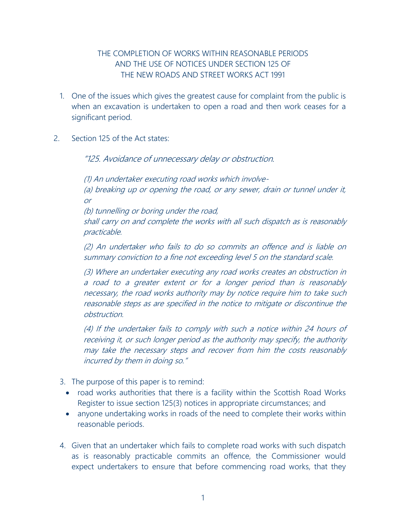## THE COMPLETION OF WORKS WITHIN REASONABLE PERIODS AND THE USE OF NOTICES UNDER SECTION 125 OF THE NEW ROADS AND STREET WORKS ACT 1991

- 1. One of the issues which gives the greatest cause for complaint from the public is when an excavation is undertaken to open a road and then work ceases for a significant period.
- 2. Section 125 of the Act states:

"125. Avoidance of unnecessary delay or obstruction.

(1) An undertaker executing road works which involve- (a) breaking up or opening the road, or any sewer, drain or tunnel under it, or

(b) tunnelling or boring under the road,

shall carry on and complete the works with all such dispatch as is reasonably practicable.

(2) An undertaker who fails to do so commits an offence and is liable on summary conviction to a fine not exceeding level 5 on the standard scale.

(3) Where an undertaker executing any road works creates an obstruction in a road to a greater extent or for a longer period than is reasonably necessary, the road works authority may by notice require him to take such reasonable steps as are specified in the notice to mitigate or discontinue the obstruction.

(4) If the undertaker fails to comply with such a notice within 24 hours of receiving it, or such longer period as the authority may specify, the authority may take the necessary steps and recover from him the costs reasonably incurred by them in doing so."

- 3. The purpose of this paper is to remind:
	- road works authorities that there is a facility within the Scottish Road Works Register to issue section 125(3) notices in appropriate circumstances; and
	- anyone undertaking works in roads of the need to complete their works within reasonable periods.
- 4. Given that an undertaker which fails to complete road works with such dispatch as is reasonably practicable commits an offence, the Commissioner would expect undertakers to ensure that before commencing road works, that they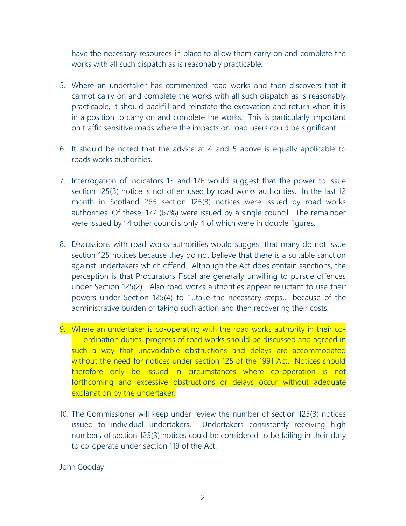have the necessary resources in place to allow them carry on and complete the works with all such dispatch as is reasonably practicable.

- 5. Where an undertaker has commenced road works and then discovers that it cannot carry on and complete the works with all such dispatch as is reasonably practicable, it should backfill and reinstate the excavation and return when it is in a position to carry on and complete the works. This is particularly important on traffic sensitive roads where the impacts on road users could be significant.
- 6. It should be noted that the advice at 4 and 5 above is equally applicable to roads works authorities.
- 7. Interrogation of Indicators 13 and 17E would suggest that the power to issue section 125(3) notice is not often used by road works authorities. In the last 12 month in Scotland 265 section 125(3) notices were issued by road works authorities. Of these, 177 (67%) were issued by a single council. The remainder were issued by 14 other councils only 4 of which were in double figures.
- 8. Discussions with road works authorities would suggest that many do not issue section 125 notices because they do not believe that there is a suitable sanction against undertakers which offend. Although the Act does contain sanctions, the perception is that Procurators Fiscal are generally unwilling to pursue offences under Section 125(2). Also road works authorities appear reluctant to use their powers under Section 125(4) to "…take the necessary steps.." because of the administrative burden of taking such action and then recovering their costs.
- 9. Where an undertaker is co-operating with the road works authority in their coordination duties, progress of road works should be discussed and agreed in such a way that unavoidable obstructions and delays are accommodated without the need for notices under section 125 of the 1991 Act. Notices should therefore only be issued in circumstances where co-operation is not forthcoming and excessive obstructions or delays occur without adequate explanation by the undertaker.
- 10. The Commissioner will keep under review the number of section 125(3) notices issued to individual undertakers. Undertakers consistently receiving high numbers of section 125(3) notices could be considered to be failing in their duty to co-operate under section 119 of the Act.

John Gooday